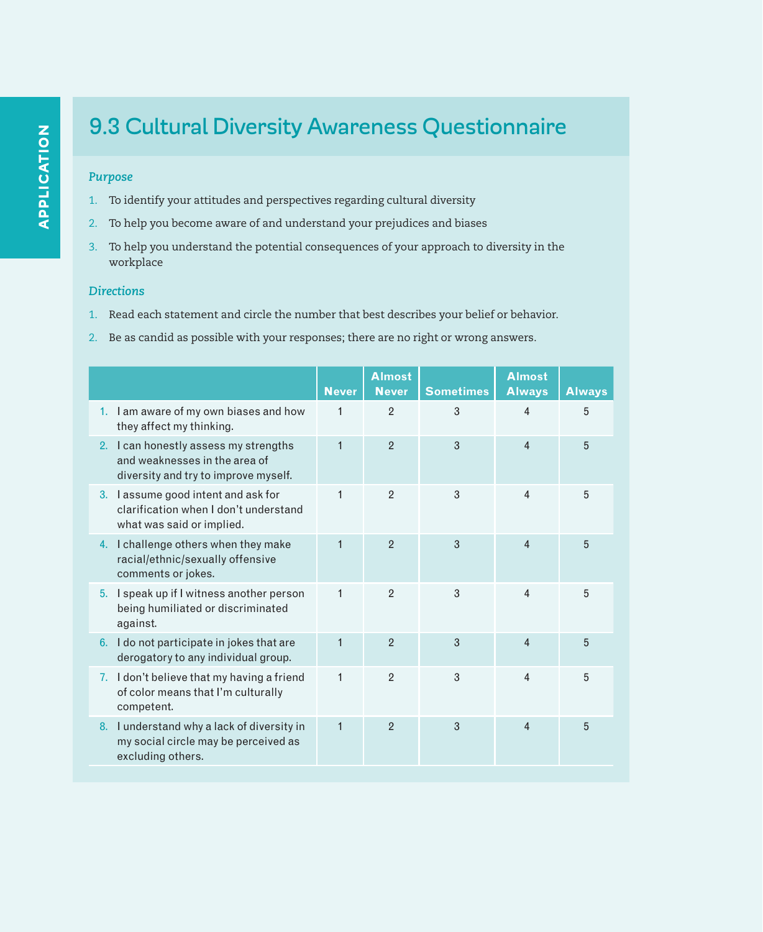## *Purpose*

- 1. To identify your attitudes and perspectives regarding cultural diversity
- 2. To help you become aware of and understand your prejudices and biases
- 3. To help you understand the potential consequences of your approach to diversity in the workplace

# *Directions*

- 1. Read each statement and circle the number that best describes your belief or behavior.
- 2. Be as candid as possible with your responses; there are no right or wrong answers.

|                                                                                                                | <b>Never</b> | <b>Almost</b><br><b>Never</b> | <b>Sometimes</b> | <b>Almost</b><br><b>Always</b> | <b>Always</b> |
|----------------------------------------------------------------------------------------------------------------|--------------|-------------------------------|------------------|--------------------------------|---------------|
| 1. I am aware of my own biases and how<br>they affect my thinking.                                             | 1            | $\overline{2}$                | 3                | $\overline{4}$                 | 5             |
| 2. I can honestly assess my strengths<br>and weaknesses in the area of<br>diversity and try to improve myself. | $\mathbf{1}$ | $\mathfrak{p}$                | 3                | $\overline{4}$                 | 5             |
| 3. I assume good intent and ask for<br>clarification when I don't understand<br>what was said or implied.      | $\mathbf{1}$ | $\overline{2}$                | 3                | $\overline{\mathbf{A}}$        | 5             |
| 4. I challenge others when they make<br>racial/ethnic/sexually offensive<br>comments or jokes.                 | $\mathbf{1}$ | $\overline{2}$                | 3                | $\overline{4}$                 | 5             |
| 5. I speak up if I witness another person<br>being humiliated or discriminated<br>against.                     | $\mathbf{1}$ | $\mathbf{2}$                  | 3                | $\overline{\mathbf{A}}$        | 5             |
| 6. I do not participate in jokes that are<br>derogatory to any individual group.                               | $\mathbf{1}$ | $\overline{2}$                | 3                | $\overline{4}$                 | 5             |
| 7. I don't believe that my having a friend<br>of color means that I'm culturally<br>competent.                 | 1            | $\overline{2}$                | $\mathcal{S}$    | $\overline{4}$                 | 5             |
| 8. I understand why a lack of diversity in<br>my social circle may be perceived as<br>excluding others.        | $\mathbf{1}$ | $\overline{2}$                | 3                | $\boldsymbol{\Delta}$          | 5             |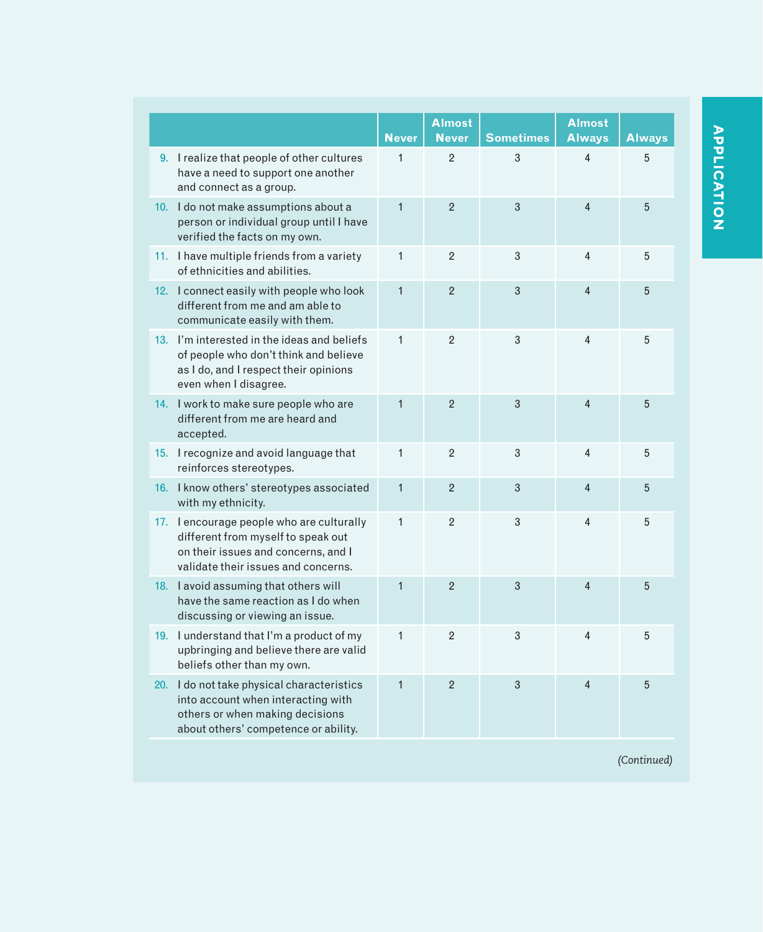|     |                                                                                                                                                               | <b>Never</b> | <b>Almost</b><br><b>Never</b> | <b>Sometimes</b> | <b>Almost</b><br><b>Always</b> | <b>Always</b> |
|-----|---------------------------------------------------------------------------------------------------------------------------------------------------------------|--------------|-------------------------------|------------------|--------------------------------|---------------|
|     | 9. I realize that people of other cultures<br>have a need to support one another<br>and connect as a group.                                                   | $\mathbf{1}$ | $\overline{2}$                | 3                | $\overline{\mathbf{4}}$        | 5             |
|     | 10. I do not make assumptions about a<br>person or individual group until I have<br>verified the facts on my own.                                             | $\mathbf{1}$ | $\overline{2}$                | 3                | $\overline{4}$                 | 5             |
|     | 11. I have multiple friends from a variety<br>of ethnicities and abilities.                                                                                   | $\mathbf{1}$ | $\overline{2}$                | 3                | 4                              | 5             |
|     | 12. I connect easily with people who look<br>different from me and am able to<br>communicate easily with them.                                                | $\mathbf{1}$ | $\overline{2}$                | 3                | $\overline{\mathbf{4}}$        | 5             |
|     | 13. I'm interested in the ideas and beliefs<br>of people who don't think and believe<br>as I do, and I respect their opinions<br>even when I disagree.        | $\mathbf{1}$ | $\overline{2}$                | 3                | 4                              | 5             |
|     | 14. I work to make sure people who are<br>different from me are heard and<br>accepted.                                                                        | $\mathbf{1}$ | $\overline{2}$                | 3                | $\overline{4}$                 | 5             |
|     | 15. I recognize and avoid language that<br>reinforces stereotypes.                                                                                            | $\mathbf{1}$ | $\overline{2}$                | 3                | 4                              | 5             |
|     | 16. I know others' stereotypes associated<br>with my ethnicity.                                                                                               | $\mathbf{1}$ | $\overline{2}$                | 3                | $\overline{4}$                 | 5             |
|     | 17. I encourage people who are culturally<br>different from myself to speak out<br>on their issues and concerns, and I<br>validate their issues and concerns. | $\mathbf{1}$ | $\overline{2}$                | 3                | 4                              | 5             |
|     | 18. I avoid assuming that others will<br>have the same reaction as I do when<br>discussing or viewing an issue.                                               | $\mathbf{1}$ | $\overline{2}$                | 3                | 4                              | 5             |
| 19. | I understand that I'm a product of my<br>upbringing and believe there are valid<br>beliefs other than my own.                                                 | $\mathbf{1}$ | $\overline{2}$                | 3                | 4                              | 5             |
| 20. | I do not take physical characteristics<br>into account when interacting with<br>others or when making decisions<br>about others' competence or ability.       | $\mathbf{1}$ | $\mathfrak{p}$                | 3                | $\overline{4}$                 | 5             |

APPLICATION APPLICATION

*(Continued)*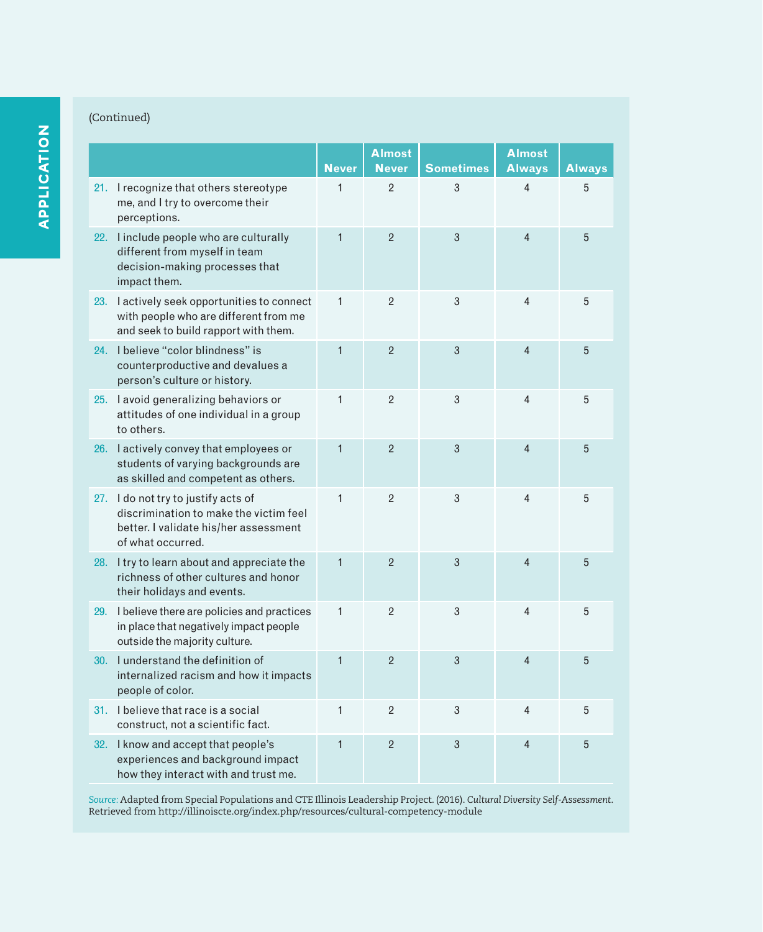# (Continued)

|                                                                                                                                             |              | <b>Almost</b>  |                  | <b>Almost</b>  |               |
|---------------------------------------------------------------------------------------------------------------------------------------------|--------------|----------------|------------------|----------------|---------------|
|                                                                                                                                             | <b>Never</b> | <b>Never</b>   | <b>Sometimes</b> | <b>Always</b>  | <b>Always</b> |
| 21. I recognize that others stereotype<br>me, and I try to overcome their<br>perceptions.                                                   | 1            | $\overline{2}$ | 3                | $\overline{4}$ | 5             |
| 22. I include people who are culturally<br>different from myself in team<br>decision-making processes that<br>impact them.                  | $\mathbf{1}$ | $\overline{2}$ | 3                | $\overline{4}$ | 5             |
| 23. I actively seek opportunities to connect<br>with people who are different from me<br>and seek to build rapport with them.               | $\mathbf{1}$ | $\overline{2}$ | 3                | 4              | 5             |
| 24. I believe "color blindness" is<br>counterproductive and devalues a<br>person's culture or history.                                      | $\mathbf{1}$ | $\overline{2}$ | 3                | $\overline{4}$ | 5             |
| 25. I avoid generalizing behaviors or<br>attitudes of one individual in a group<br>to others.                                               | $\mathbf{1}$ | $\overline{2}$ | 3                | $\overline{4}$ | 5             |
| 26. I actively convey that employees or<br>students of varying backgrounds are<br>as skilled and competent as others.                       | $\mathbf{1}$ | $\overline{2}$ | 3                | $\overline{4}$ | 5             |
| 27. I do not try to justify acts of<br>discrimination to make the victim feel<br>better. I validate his/her assessment<br>of what occurred. | $\mathbf{1}$ | $\overline{2}$ | 3                | $\overline{4}$ | 5             |
| 28. I try to learn about and appreciate the<br>richness of other cultures and honor<br>their holidays and events.                           | $\mathbf{1}$ | $\overline{2}$ | 3                | $\overline{4}$ | 5             |
| 29. I believe there are policies and practices<br>in place that negatively impact people<br>outside the majority culture.                   | $\mathbf{1}$ | $\overline{2}$ | 3                | $\overline{4}$ | 5             |
| 30. I understand the definition of<br>internalized racism and how it impacts<br>people of color.                                            | $\mathbf{1}$ | $\overline{2}$ | 3                | $\overline{4}$ | 5             |
| 31. I believe that race is a social<br>construct, not a scientific fact.                                                                    | $\mathbf{1}$ | $\overline{2}$ | 3                | $\overline{4}$ | 5             |
| 32. I know and accept that people's<br>experiences and background impact<br>how they interact with and trust me.                            | $\mathbf{1}$ | $\overline{2}$ | 3                | $\overline{4}$ | 5             |

*Source:* Adapted from Special Populations and CTE Illinois Leadership Project. (2016). *Cultural Diversity Self-Assessment*. Retrieved from http://illinoiscte.org/index.php/resources/cultural-competency-module